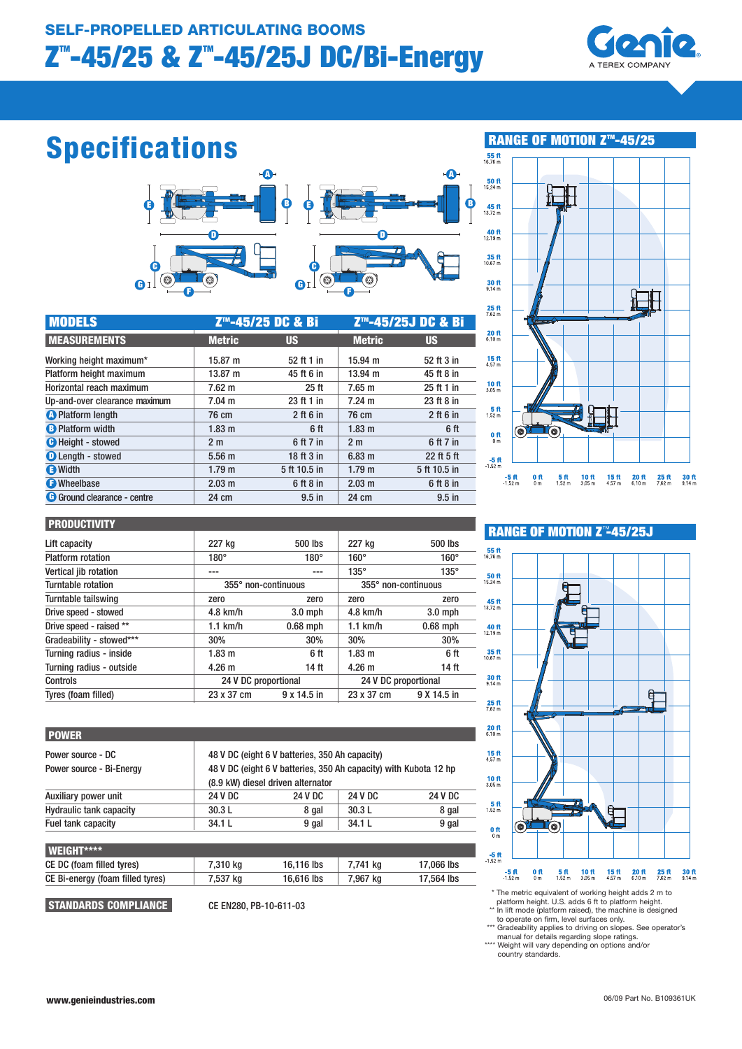

## Specifications



| <b>MODELS</b>                      | Z <sup>™</sup> -45/25 DC & Bi |                  | Z™-45/25J DC & Bi |              |
|------------------------------------|-------------------------------|------------------|-------------------|--------------|
| <b>MEASUREMENTS</b>                | <b>Metric</b>                 | <b>US</b>        | <b>Metric</b>     | <b>US</b>    |
| Working height maximum*            | 15.87 m                       | 52 ft 1 in       | 15.94 m           | 52 ft 3 in   |
| Platform height maximum            | 13.87 m                       | 45 ft 6 in       | $13.94 \text{ m}$ | 45 ft 8 in   |
| Horizontal reach maximum           | $7.62 \text{ m}$              | 25 <sub>ft</sub> | 7.65 m            | 25 ft 1 in   |
| Up-and-over clearance maximum      | $7.04 \text{ m}$              | 23 ft 1 in       | $7.24 \text{ m}$  | 23 ft 8 in   |
| <b>O</b> Platform length           | 76 cm                         | $2$ ft 6 in      | 76 cm             | $2$ ft 6 in  |
| <b>B</b> Platform width            | 1.83 <sub>m</sub>             | 6 <sup>ft</sup>  | 1.83 <sub>m</sub> | 6 ft         |
| <b>O</b> Height - stowed           | 2 <sub>m</sub>                | 6 ft 7 in        | 2 <sub>m</sub>    | 6 ft 7 in    |
| <b>D</b> Length - stowed           | 5.56 <sub>m</sub>             | 18 ft 3 in       | 6.83 <sub>m</sub> | 22 ft 5 ft   |
| <b>E</b> Width                     | 1.79 <sub>m</sub>             | 5 ft 10.5 in     | 1.79 <sub>m</sub> | 5 ft 10.5 in |
| <b>O</b> Wheelbase                 | 2.03 <sub>m</sub>             | $6$ ft $8$ in    | 2.03 m            | 6 ft 8 in    |
| <b>G</b> Ground clearance - centre | 24 cm                         | $9.5$ in         | 24 cm             | $9.5$ in     |



#### **PRODUCTIVITY**

| Lift capacity            | 227 kg              | 500 lbs              | 227 kg              | 500 lbs              |  |
|--------------------------|---------------------|----------------------|---------------------|----------------------|--|
| <b>Platform rotation</b> | $180^\circ$         | $180^\circ$          | $160^\circ$         | $160^\circ$          |  |
| Vertical jib rotation    | $- - -$             | ---                  | $135^\circ$         | $135^\circ$          |  |
| Turntable rotation       | 355° non-continuous |                      | 355° non-continuous |                      |  |
| Turntable tailswing      | zero                | zero                 | zero                | zero                 |  |
| Drive speed - stowed     | $4.8$ km/h          | $3.0$ mph            | $4.8$ km/h          | $3.0$ mph            |  |
| Drive speed - raised **  | $1.1$ km/h          | $0.68$ mph           | $1.1$ km/h          | $0.68$ mph           |  |
| Gradeability - stowed*** | 30%                 | 30%                  | 30%                 | 30%                  |  |
| Turning radius - inside  | 1.83 <sub>m</sub>   | 6 ft                 | 1.83 <sub>m</sub>   | 6 ft                 |  |
| Turning radius - outside | 4.26 <sub>m</sub>   | 14 ft                | 4.26 <sub>m</sub>   | 14 ft                |  |
| Controls                 |                     | 24 V DC proportional |                     | 24 V DC proportional |  |
| Tyres (foam filled)      | 23 x 37 cm          | 9 x 14.5 in          | 23 x 37 cm          | 9 X 14.5 in          |  |

| <b>POWER</b>                                  |         |                                                                                                                                                         |                |                |  |
|-----------------------------------------------|---------|---------------------------------------------------------------------------------------------------------------------------------------------------------|----------------|----------------|--|
| Power source - DC<br>Power source - Bi-Energy |         | 48 V DC (eight 6 V batteries, 350 Ah capacity)<br>48 V DC (eight 6 V batteries, 350 Ah capacity) with Kubota 12 hp<br>(8.9 kW) diesel driven alternator |                |                |  |
| Auxiliary power unit                          | 24 V DC | 24 V DC                                                                                                                                                 | <b>24 V DC</b> | <b>24 V DC</b> |  |
| <b>Hydraulic tank capacity</b>                | 30.3L   | 8 gal                                                                                                                                                   | 30.3L          | 8 gal          |  |
| Fuel tank capacity                            | 34.1L   | 9 gal                                                                                                                                                   | 34.1 L         | 9 gal          |  |

| <b>I</b> WEIGHT****              |          |            |          |            |
|----------------------------------|----------|------------|----------|------------|
| CE DC (foam filled tyres)        | 7.310 ka | 16.116 lbs | 7.741 ka | 17,066 lbs |
| CE Bi-energy (foam filled tyres) | 7.537 ka | 16,616 lbs | 7.967 ka | 17.564 lbs |
|                                  |          |            |          |            |

STANDARDS COMPLIANCE CE EN280, PB-10-611-03

## RANGE OF MOTION Z<sup>™</sup>45/25J



 \* The metric equivalent of working height adds 2 m to platform height. U.S. adds 6 ft to platform height.

\*\* In lift mode (platform raised), the machine is designed to operate on firm, level surfaces only. \*\*\* Gradeability applies to driving on slopes. See operator's

manual for details regarding slope ratings. \*\*\*\* Weight will vary depending on options and/or country standards.